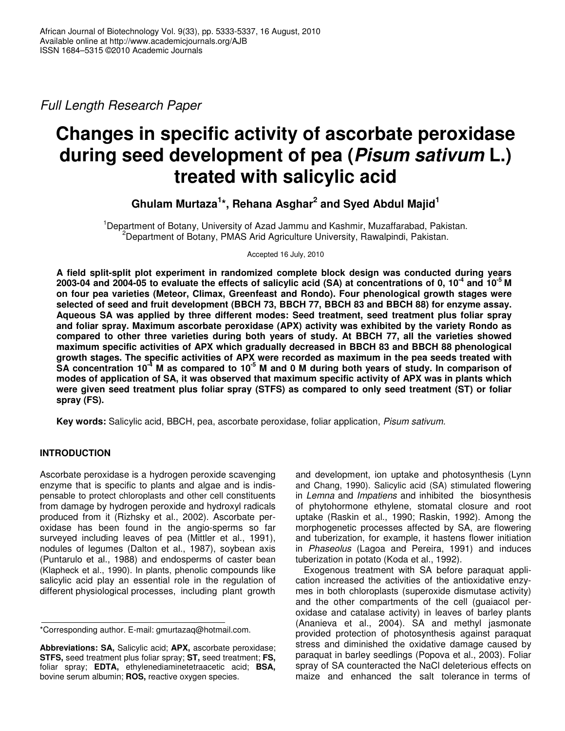*Full Length Research Paper*

# **Changes in specific activity of ascorbate peroxidase during seed development of pea (***Pisum sativum* **L.) treated with salicylic acid**

**Ghulam Murtaza 1 \*, Rehana Asghar 2 and Syed Abdul Majid 1**

<sup>1</sup>Department of Botany, University of Azad Jammu and Kashmir, Muzaffarabad, Pakistan. <sup>2</sup>Department of Botany, PMAS Arid Agriculture University, Rawalpindi, Pakistan.

Accepted 16 July, 2010

**A field split-split plot experiment in randomized complete block design was conducted during years** 2003-04 and 2004-05 to evaluate the effects of salicylic acid (SA) at concentrations of 0, 10<sup>-4</sup> and 10<sup>-5</sup> M **on four pea varieties (Meteor, Climax, Greenfeast and Rondo). Four phenological growth stages were selected of seed and fruit development (BBCH 73, BBCH 77, BBCH 83 and BBCH 88) for enzyme assay. Aqueous SA was applied by three different modes: Seed treatment, seed treatment plus foliar spray and foliar spray. Maximum ascorbate peroxidase (APX) activity was exhibited by the variety Rondo as compared to other three varieties during both years of study. At BBCH 77, all the varieties showed maximum specific activities of APX which gradually decreased in BBCH 83 and BBCH 88 phenological growth stages. The specific activities of APX were recorded as maximum in the pea seeds treated with** SA concentration 10<sup>-4</sup> M as compared to 10<sup>-5</sup> M and 0 M during both years of study. In comparison of modes of application of SA, it was observed that maximum specific activity of APX was in plants which **were given seed treatment plus foliar spray (STFS) as compared to only seed treatment (ST) or foliar spray (FS).**

**Key words:** Salicylic acid, BBCH, pea, ascorbate peroxidase, foliar application, *Pisum sativum.*

# **INTRODUCTION**

Ascorbate peroxidase is a hydrogen peroxide scavenging enzyme that is specific to plants and algae and is indispensable to protect chloroplasts and other cell constituents from damage by hydrogen peroxide and hydroxyl radicals produced from it (Rizhsky et al., 2002). Ascorbate peroxidase has been found in the angio-sperms so far surveyed including leaves of pea (Mittler et al., 1991), nodules of legumes (Dalton et al., 1987), soybean axis (Puntarulo et al., 1988) and endosperms of caster bean (Klapheck et al., 1990). In plants, phenolic compounds like salicylic acid play an essential role in the regulation of different physiological processes, including plant growth

and development, ion uptake and photosynthesis (Lynn and Chang, 1990). Salicylic acid (SA) stimulated flowering in *Lemna* and *Impatiens* and inhibited the biosynthesis of phytohormone ethylene, stomatal closure and root uptake (Raskin et al., 1990; Raskin, 1992). Among the morphogenetic processes affected by SA, are flowering and tuberization, for example, it hastens flower initiation in *Phaseolus* (Lagoa and Pereira, 1991) and induces tuberization in potato (Koda et al., 1992).

Exogenous treatment with SA before paraquat application increased the activities of the antioxidative enzymes in both chloroplasts (superoxide dismutase activity) and the other compartments of the cell (guaiacol peroxidase and catalase activity) in leaves of barley plants (Ananieva et al., 2004). SA and methyl jasmonate provided protection of photosynthesis against paraquat stress and diminished the oxidative damage caused by paraquat in barley seedlings (Popova et al., 2003). Foliar spray of SA counteracted the NaCl deleterious effects on maize and enhanced the salt tolerance in terms of

<sup>\*</sup>Corresponding author. E-mail: gmurtazaq@hotmail.com.

**Abbreviations: SA,** Salicylic acid; **APX,** ascorbate peroxidase; **STFS,** seed treatment plus foliar spray; **ST,** seed treatment; **FS,** foliar spray; **EDTA,** ethylenediaminetetraacetic acid; **BSA,** bovine serum albumin; **ROS,** reactive oxygen species.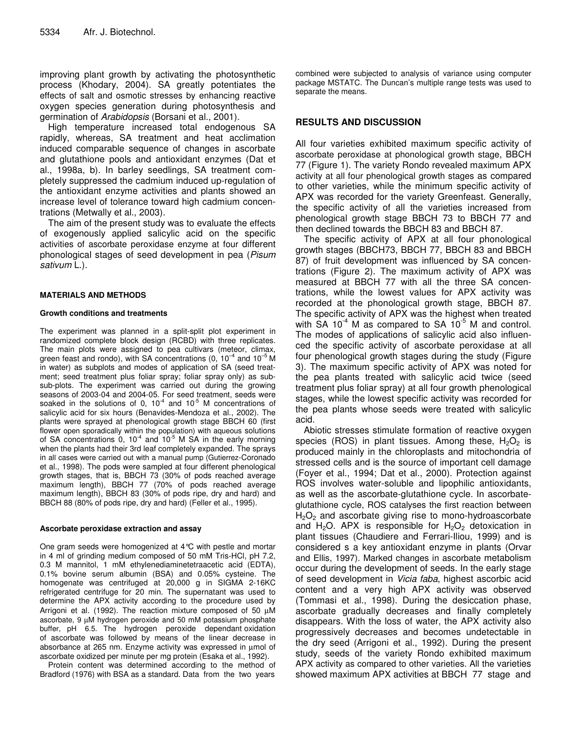improving plant growth by activating the photosynthetic process (Khodary, 2004). SA greatly potentiates the effects of salt and osmotic stresses by enhancing reactive oxygen species generation during photosynthesis and germination of *Arabidopsis* (Borsani et al., 2001).

High temperature increased total endogenous SA rapidly, whereas, SA treatment and heat acclimation induced comparable sequence of changes in ascorbate and glutathione pools and antioxidant enzymes (Dat et al., 1998a, b). In barley seedlings, SA treatment completely suppressed the cadmium induced up-regulation of the antioxidant enzyme activities and plants showed an increase level of tolerance toward high cadmium concentrations (Metwally et al., 2003).

The aim of the present study was to evaluate the effects of exogenously applied salicylic acid on the specific activities of ascorbate peroxidase enzyme at four different phonological stages of seed development in pea (*Pisum sativum* L.).

## **MATERIALS AND METHODS**

#### **Growth conditions and treatments**

The experiment was planned in a split-split plot experiment in randomized complete block design (RCBD) with three replicates. The main plots were assigned to pea cultivars (meteor, climax, green feast and rondo), with SA concentrations (0, 10<sup>-4</sup> and 10<sup>-5</sup> M in water) as subplots and modes of application of SA (seed treatment; seed treatment plus foliar spray; foliar spray only) as subsub-plots. The experiment was carried out during the growing seasons of 2003-04 and 2004-05. For seed treatment, seeds were soaked in the solutions of 0,  $10^{-4}$  and  $10^{-5}$  M concentrations of salicylic acid for six hours (Benavides-Mendoza et al., 2002). The plants were sprayed at phenological growth stage BBCH 60 (first flower open sporadically within the population) with aqueous solutions of SA concentrations 0,  $10^{-4}$  and  $10^{-5}$  M SA in the early morning when the plants had their 3rd leaf completely expanded. The sprays in all cases were carried out with a manual pump (Gutierrez-Coronado et al., 1998). The pods were sampled at four different phenological growth stages, that is, BBCH 73 (30% of pods reached average maximum length), BBCH 77 (70% of pods reached average maximum length), BBCH 83 (30% of pods ripe, dry and hard) and BBCH 88 (80% of pods ripe, dry and hard) (Feller et al., 1995).

## **Ascorbate peroxidase extraction and assay**

One gram seeds were homogenized at 4°C with pestle and mortar in 4 ml of grinding medium composed of 50 mM Tris-HCl, pH 7.2, 0.3 M mannitol, 1 mM ethylenediaminetetraacetic acid (EDTA), 0.1% bovine serum albumin (BSA) and 0.05% cysteine. The homogenate was centrifuged at 20,000 g in SIGMA 2-16KC refrigerated centrifuge for 20 min. The supernatant was used to determine the APX activity according to the procedure used by Arrigoni et al. (1992). The reaction mixture composed of 50  $\mu$ M ascorbate, 9  $\mu$ M hydrogen peroxide and 50 mM potassium phosphate buffer, pH 6.5. The hydrogen peroxide dependant oxidation of ascorbate was followed by means of the linear decrease in absorbance at 265 nm. Enzyme activity was expressed in µmol of ascorbate oxidized per minute per mg protein (Esaka et al., 1992).

Protein content was determined according to the method of Bradford (1976) with BSA as a standard. Data from the two years

combined were subjected to analysis of variance using computer package MSTATC. The Duncan's multiple range tests was used to separate the means.

## **RESULTS AND DISCUSSION**

All four varieties exhibited maximum specific activity of ascorbate peroxidase at phonological growth stage, BBCH 77 (Figure 1). The variety Rondo revealed maximum APX activity at all four phenological growth stages as compared to other varieties, while the minimum specific activity of APX was recorded for the variety Greenfeast. Generally, the specific activity of all the varieties increased from phenological growth stage BBCH 73 to BBCH 77 and then declined towards the BBCH 83 and BBCH 87.

The specific activity of APX at all four phonological growth stages (BBCH73, BBCH 77, BBCH 83 and BBCH 87) of fruit development was influenced by SA concentrations (Figure 2). The maximum activity of APX was measured at BBCH 77 with all the three SA concentrations, while the lowest values for APX activity was recorded at the phonological growth stage, BBCH 87. The specific activity of APX was the highest when treated with SA 10 $4$  M as compared to SA 10 $5$  M and control. The modes of applications of salicylic acid also influenced the specific activity of ascorbate peroxidase at all four phenological growth stages during the study (Figure 3). The maximum specific activity of APX was noted for the pea plants treated with salicylic acid twice (seed treatment plus foliar spray) at all four growth phenological stages, while the lowest specific activity was recorded for the pea plants whose seeds were treated with salicylic acid.

Abiotic stresses stimulate formation of reactive oxygen species (ROS) in plant tissues. Among these,  $H_2O_2$  is produced mainly in the chloroplasts and mitochondria of stressed cells and is the source of important cell damage (Foyer et al., 1994; Dat et al., 2000). Protection against ROS involves water-soluble and lipophilic antioxidants, as well as the ascorbate-glutathione cycle. In ascorbateglutathione cycle, ROS catalyses the first reaction between  $H<sub>2</sub>O<sub>2</sub>$  and ascorbate giving rise to mono-hydroascorbate and H<sub>2</sub>O. APX is responsible for  $H_2O_2$  detoxication in plant tissues (Chaudiere and Ferrari-Iliou, 1999) and is considered s a key antioxidant enzyme in plants (Orvar and Ellis, 1997). Marked changes in ascorbate metabolism occur during the development of seeds. In the early stage of seed development in *Vicia faba*, highest ascorbic acid content and a very high APX activity was observed (Tommasi et al., 1998). During the desiccation phase, ascorbate gradually decreases and finally completely disappears. With the loss of water, the APX activity also progressively decreases and becomes undetectable in the dry seed (Arrigoni et al., 1992). During the present study, seeds of the variety Rondo exhibited maximum APX activity as compared to other varieties. All the varieties showed maximum APX activities at BBCH 77 stage and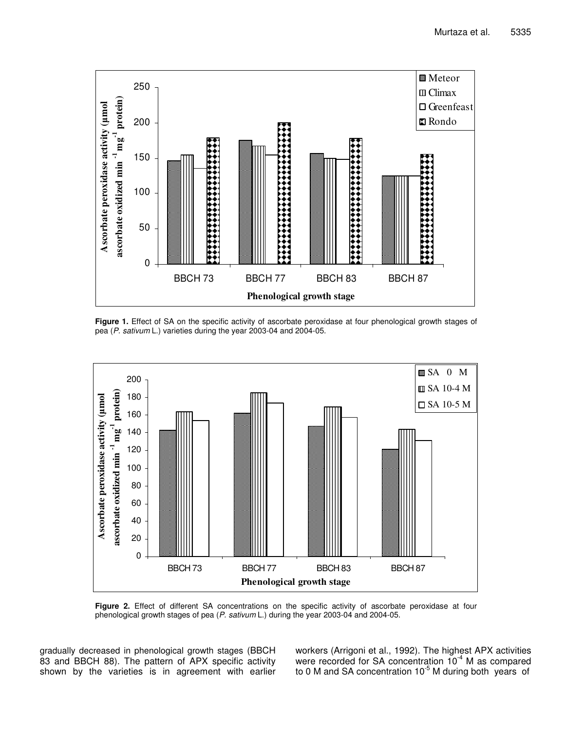

**Figure 1.** Effect of SA on the specific activity of ascorbate peroxidase at four phenological growth stages of pea (*P. sativum* L.) varieties during the year 2003-04 and 2004-05.



**Figure 2.** Effect of different SA concentrations on the specific activity of ascorbate peroxidase at four phenological growth stages of pea (*P. sativum* L.) during the year 2003-04 and 2004-05.

gradually decreased in phenological growth stages (BBCH 83 and BBCH 88). The pattern of APX specific activity shown by the varieties is in agreement with earlier workers (Arrigoni et al., 1992). The highest APX activities were recorded for SA concentration  $10^{-4}$  M as compared to 0 M and SA concentration 10<sup>-5</sup> M during both years of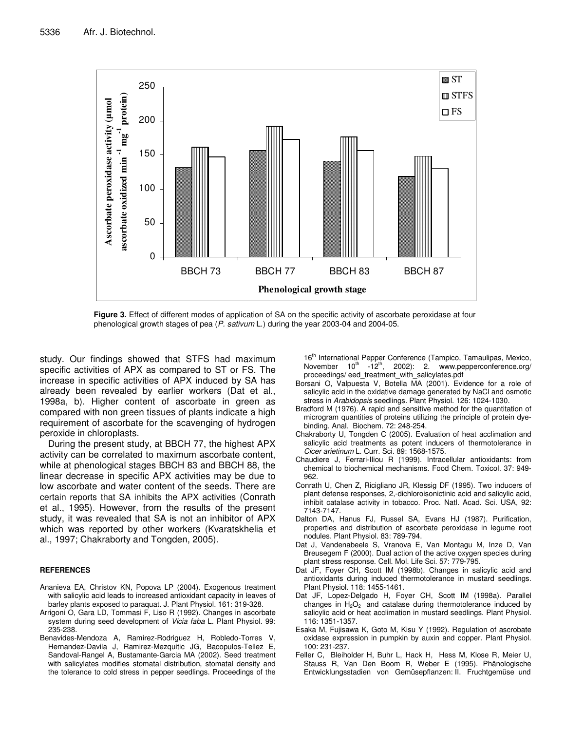

**Figure 3.** Effect of different modes of application of SA on the specific activity of ascorbate peroxidase at four phenological growth stages of pea (*P. sativum* L.) during the year 2003-04 and 2004-05.

study. Our findings showed that STFS had maximum specific activities of APX as compared to ST or FS. The increase in specific activities of APX induced by SA has already been revealed by earlier workers (Dat et al., 1998a, b). Higher content of ascorbate in green as compared with non green tissues of plants indicate a high requirement of ascorbate for the scavenging of hydrogen peroxide in chloroplasts.

During the present study, at BBCH 77, the highest APX activity can be correlated to maximum ascorbate content, while at phenological stages BBCH 83 and BBCH 88, the linear decrease in specific APX activities may be due to low ascorbate and water content of the seeds. There are certain reports that SA inhibits the APX activities (Conrath et al., 1995). However, from the results of the present study, it was revealed that SA is not an inhibitor of APX which was reported by other workers (Kvaratskhelia et al., 1997; Chakraborty and Tongden, 2005).

#### **REFERENCES**

- Ananieva EA, Christov KN, Popova LP (2004). Exogenous treatment with salicylic acid leads to increased antioxidant capacity in leaves of barley plants exposed to paraquat. J. Plant Physiol. 161: 319-328*.*
- Arrigoni O, Gara LD, Tommasi F, Liso R (1992). Changes in ascorbate system during seed development of *Vicia faba* L. Plant Physiol. 99: 235-238.
- Benavides-Mendoza A, Ramirez-Rodriguez H, Robledo-Torres V, Hernandez-Davila J, Ramirez-Mezquitic JG, Bacopulos-Tellez E, Sandoval-Rangel A, Bustamante-Garcia MA (2002). Seed treatment with salicylates modifies stomatal distribution, stomatal density and the tolerance to cold stress in pepper seedlings. Proceedings of the

16<sup>th</sup> International Pepper Conference (Tampico, Tamaulipas, Mexico, November 10<sup>th</sup> -12<sup>th</sup>, 2002): 2. www.pepperconference.org/ proceedings/ eed\_treatment\_with\_salicylates.pdf

- Borsani O, Valpuesta V, Botella MA (2001). Evidence for a role of salicylic acid in the oxidative damage generated by NaCl and osmotic stress in *Arabidopsis* seedlings. Plant Physiol. 126: 1024-1030*.*
- Bradford M (1976). A rapid and sensitive method for the quantitation of microgram quantities of proteins utilizing the principle of protein dyebinding. Anal*.* Biochem*.* 72: 248-254.
- Chakraborty U, Tongden C (2005). Evaluation of heat acclimation and salicylic acid treatments as potent inducers of thermotolerance in *Cicer arietinum* L. Curr. Sci. 89: 1568-1575.
- Chaudiere J, Ferrari-Iliou R (1999). Intracellular antioxidants: from chemical to biochemical mechanisms. Food Chem. Toxicol. 37: 949- 962.
- Conrath U, Chen Z, Ricigliano JR, Klessig DF (1995). Two inducers of plant defense responses, 2,-dichloroisonictinic acid and salicylic acid, inhibit catalase activity in tobacco. Proc. Natl. Acad. Sci. USA, 92: 7143-7147.
- Dalton DA, Hanus FJ, Russel SA, Evans HJ (1987). Purification, properties and distribution of ascorbate peroxidase in legume root nodules. Plant Physiol. 83: 789-794.
- Dat J, Vandenabeele S, Vranova E, Van Montagu M, Inze D, Van Breusegem F (2000). Dual action of the active oxygen species during plant stress response. Cell*.* Mol*.* Life Sci*.* 57: 779-795*.*
- Dat JF, Foyer CH, Scott IM (1998b). Changes in salicylic acid and antioxidants during induced thermotolerance in mustard seedlings. Plant Physiol. 118: 1455-1461.
- Dat JF, Lopez-Delgado H, Foyer CH, Scott IM (1998a). Parallel changes in  $H_2O_2$  and catalase during thermotolerance induced by salicylic acid or heat acclimation in mustard seedlings. Plant Physiol. 116: 1351-1357.
- Esaka M, Fujisawa K, Goto M, Kisu Y (1992). Regulation of ascrobate oxidase expression in pumpkin by auxin and copper. Plant Physiol. 100: 231-237.
- Feller C, Bleiholder H, Buhr L, Hack H, Hess M, Klose R, Meier U, Stauss R, Van Den Boom R, Weber E (1995). Phänologische Entwicklungsstadien von Gemüsepflanzen: II. Fruchtgemüse und